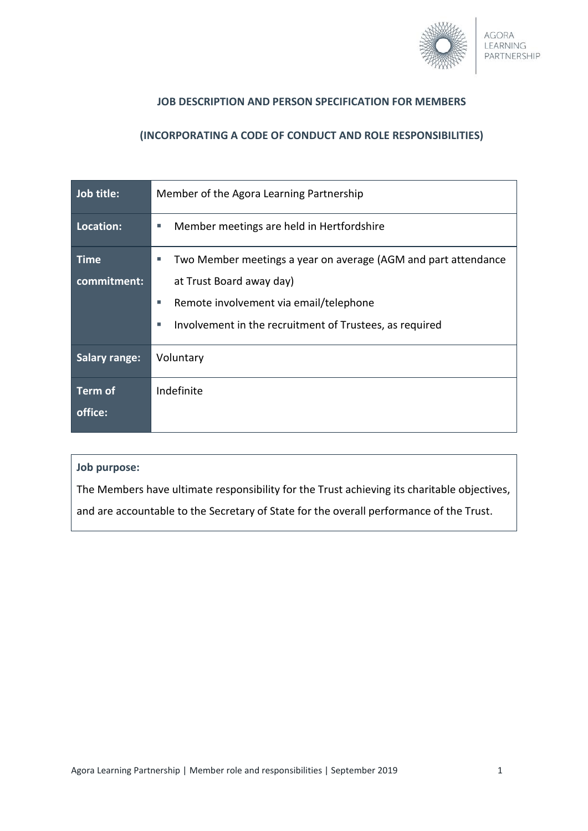

## **JOB DESCRIPTION AND PERSON SPECIFICATION FOR MEMBERS**

## **(INCORPORATING A CODE OF CONDUCT AND ROLE RESPONSIBILITIES)**

| Job title:           | Member of the Agora Learning Partnership                            |
|----------------------|---------------------------------------------------------------------|
| Location:            | Member meetings are held in Hertfordshire<br>ш                      |
| <b>Time</b>          | Two Member meetings a year on average (AGM and part attendance<br>ш |
| commitment:          | at Trust Board away day)                                            |
|                      | Remote involvement via email/telephone<br>٠                         |
|                      | Involvement in the recruitment of Trustees, as required<br>٠        |
| <b>Salary range:</b> | Voluntary                                                           |
| <b>Term of</b>       | Indefinite                                                          |
| office:              |                                                                     |

#### **Job purpose:**

The Members have ultimate responsibility for the Trust achieving its charitable objectives,

and are accountable to the Secretary of State for the overall performance of the Trust.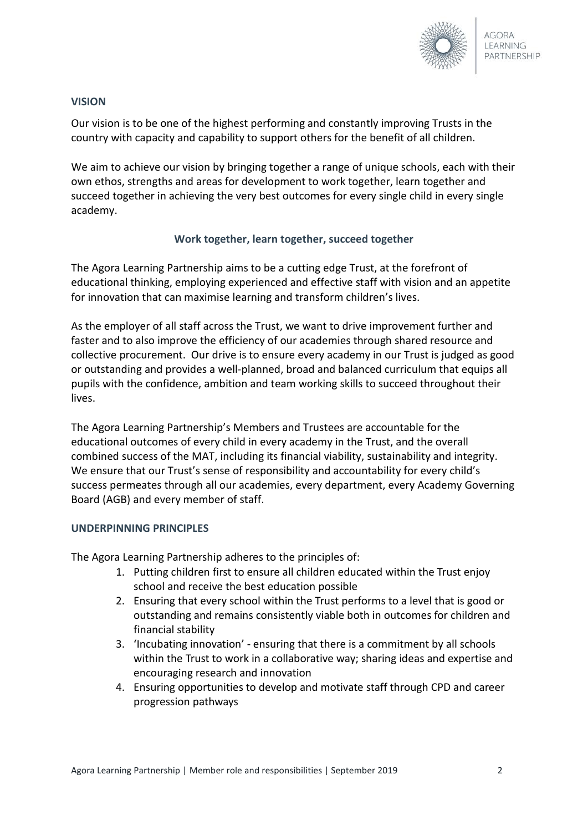

## **VISION**

Our vision is to be one of the highest performing and constantly improving Trusts in the country with capacity and capability to support others for the benefit of all children.

We aim to achieve our vision by bringing together a range of unique schools, each with their own ethos, strengths and areas for development to work together, learn together and succeed together in achieving the very best outcomes for every single child in every single academy.

## **Work together, learn together, succeed together**

The Agora Learning Partnership aims to be a cutting edge Trust, at the forefront of educational thinking, employing experienced and effective staff with vision and an appetite for innovation that can maximise learning and transform children's lives.

As the employer of all staff across the Trust, we want to drive improvement further and faster and to also improve the efficiency of our academies through shared resource and collective procurement. Our drive is to ensure every academy in our Trust is judged as good or outstanding and provides a well-planned, broad and balanced curriculum that equips all pupils with the confidence, ambition and team working skills to succeed throughout their lives.

The Agora Learning Partnership's Members and Trustees are accountable for the educational outcomes of every child in every academy in the Trust, and the overall combined success of the MAT, including its financial viability, sustainability and integrity. We ensure that our Trust's sense of responsibility and accountability for every child's success permeates through all our academies, every department, every Academy Governing Board (AGB) and every member of staff.

### **UNDERPINNING PRINCIPLES**

The Agora Learning Partnership adheres to the principles of:

- 1. Putting children first to ensure all children educated within the Trust enjoy school and receive the best education possible
- 2. Ensuring that every school within the Trust performs to a level that is good or outstanding and remains consistently viable both in outcomes for children and financial stability
- 3. 'Incubating innovation' ensuring that there is a commitment by all schools within the Trust to work in a collaborative way; sharing ideas and expertise and encouraging research and innovation
- 4. Ensuring opportunities to develop and motivate staff through CPD and career progression pathways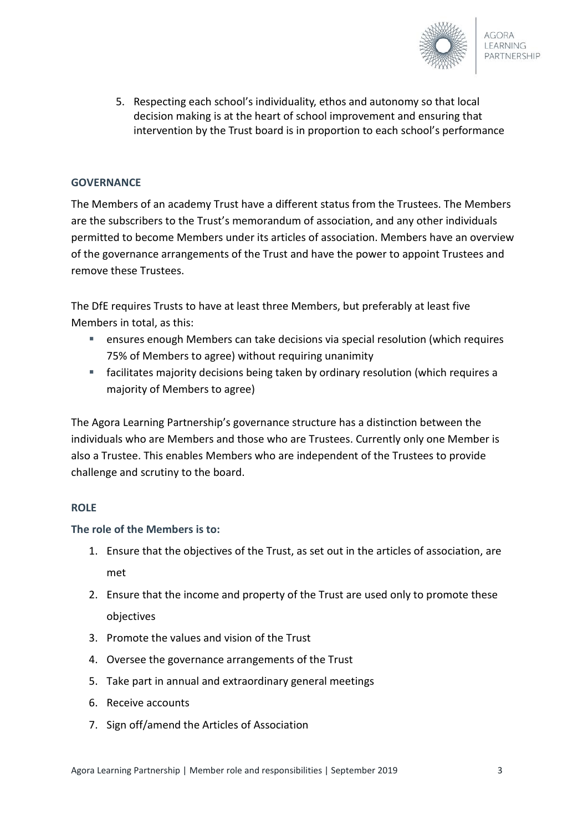

5. Respecting each school's individuality, ethos and autonomy so that local decision making is at the heart of school improvement and ensuring that intervention by the Trust board is in proportion to each school's performance

# **GOVERNANCE**

The Members of an academy Trust have a different status from the Trustees. The Members are the subscribers to the Trust's memorandum of association, and any other individuals permitted to become Members under its articles of association. Members have an overview of the governance arrangements of the Trust and have the power to appoint Trustees and remove these Trustees.

The DfE requires Trusts to have at least three Members, but preferably at least five Members in total, as this:

- ensures enough Members can take decisions via special resolution (which requires 75% of Members to agree) without requiring unanimity
- facilitates majority decisions being taken by ordinary resolution (which requires a majority of Members to agree)

The Agora Learning Partnership's governance structure has a distinction between the individuals who are Members and those who are Trustees. Currently only one Member is also a Trustee. This enables Members who are independent of the Trustees to provide challenge and scrutiny to the board.

### **ROLE**

### **The role of the Members is to:**

- 1. Ensure that the objectives of the Trust, as set out in the articles of association, are met
- 2. Ensure that the income and property of the Trust are used only to promote these objectives
- 3. Promote the values and vision of the Trust
- 4. Oversee the governance arrangements of the Trust
- 5. Take part in annual and extraordinary general meetings
- 6. Receive accounts
- 7. Sign off/amend the Articles of Association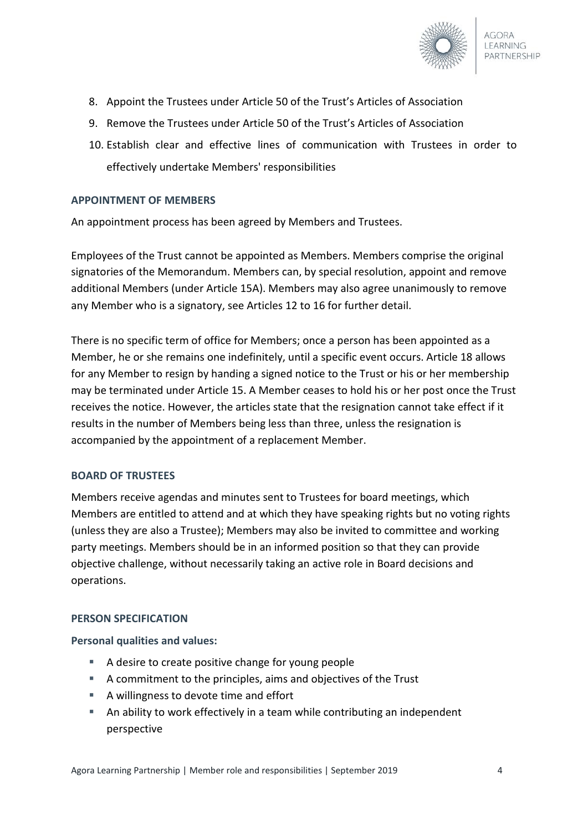

- 8. Appoint the Trustees under Article 50 of the Trust's Articles of Association
- 9. Remove the Trustees under Article 50 of the Trust's Articles of Association
- 10. Establish clear and effective lines of communication with Trustees in order to effectively undertake Members' responsibilities

### **APPOINTMENT OF MEMBERS**

An appointment process has been agreed by Members and Trustees.

Employees of the Trust cannot be appointed as Members. Members comprise the original signatories of the Memorandum. Members can, by special resolution, appoint and remove additional Members (under Article 15A). Members may also agree unanimously to remove any Member who is a signatory, see Articles 12 to 16 for further detail.

There is no specific term of office for Members; once a person has been appointed as a Member, he or she remains one indefinitely, until a specific event occurs. Article 18 allows for any Member to resign by handing a signed notice to the Trust or his or her membership may be terminated under Article 15. A Member ceases to hold his or her post once the Trust receives the notice. However, the articles state that the resignation cannot take effect if it results in the number of Members being less than three, unless the resignation is accompanied by the appointment of a replacement Member.

#### **BOARD OF TRUSTEES**

Members receive agendas and minutes sent to Trustees for board meetings, which Members are entitled to attend and at which they have speaking rights but no voting rights (unless they are also a Trustee); Members may also be invited to committee and working party meetings. Members should be in an informed position so that they can provide objective challenge, without necessarily taking an active role in Board decisions and operations.

#### **PERSON SPECIFICATION**

#### **Personal qualities and values:**

- A desire to create positive change for young people
- A commitment to the principles, aims and objectives of the Trust
- A willingness to devote time and effort
- An ability to work effectively in a team while contributing an independent perspective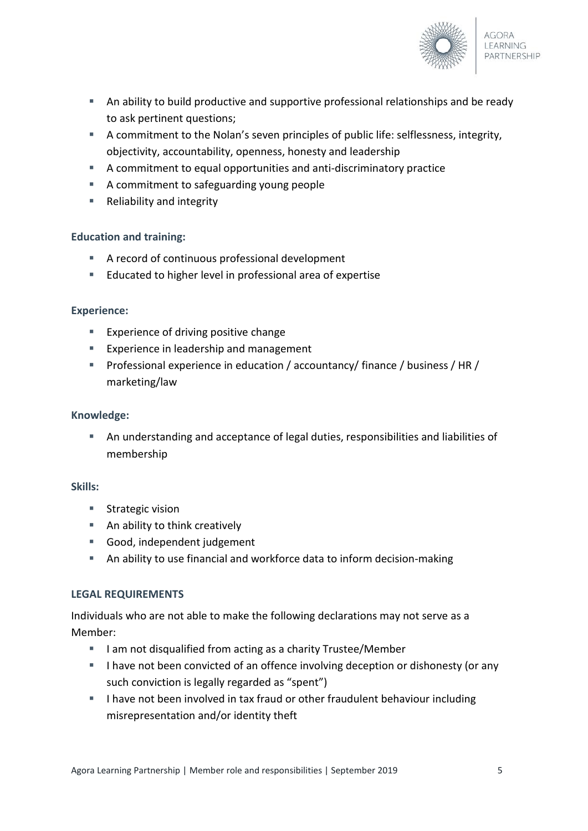

- An ability to build productive and supportive professional relationships and be ready to ask pertinent questions;
- A commitment to the Nolan's seven principles of public life: selflessness, integrity, objectivity, accountability, openness, honesty and leadership
- A commitment to equal opportunities and anti-discriminatory practice
- A commitment to safeguarding young people
- Reliability and integrity

## **Education and training:**

- A record of continuous professional development
- Educated to higher level in professional area of expertise

### **Experience:**

- **Experience of driving positive change**
- **Experience in leadership and management**
- Professional experience in education / accountancy/ finance / business / HR / marketing/law

### **Knowledge:**

 An understanding and acceptance of legal duties, responsibilities and liabilities of membership

### **Skills:**

- Strategic vision
- An ability to think creatively
- Good, independent judgement
- An ability to use financial and workforce data to inform decision-making

### **LEGAL REQUIREMENTS**

Individuals who are not able to make the following declarations may not serve as a Member:

- I am not disqualified from acting as a charity Trustee/Member
- I have not been convicted of an offence involving deception or dishonesty (or any such conviction is legally regarded as "spent")
- I have not been involved in tax fraud or other fraudulent behaviour including misrepresentation and/or identity theft